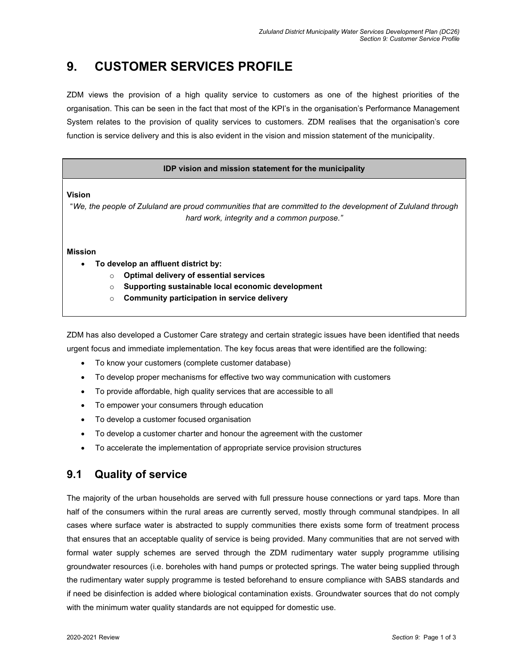# **9. CUSTOMER SERVICES PROFILE**

ZDM views the provision of a high quality service to customers as one of the highest priorities of the organisation. This can be seen in the fact that most of the KPI's in the organisation's Performance Management System relates to the provision of quality services to customers. ZDM realises that the organisation's core function is service delivery and this is also evident in the vision and mission statement of the municipality.

### **IDP vision and mission statement for the municipality**

**Vision** 

"*We, the people of Zululand are proud communities that are committed to the development of Zululand through hard work, integrity and a common purpose."*

**Mission** 

- **To develop an affluent district by:** 
	- o **Optimal delivery of essential services**
	- o **Supporting sustainable local economic development**
	- o **Community participation in service delivery**

ZDM has also developed a Customer Care strategy and certain strategic issues have been identified that needs urgent focus and immediate implementation. The key focus areas that were identified are the following:

- To know your customers (complete customer database)
- To develop proper mechanisms for effective two way communication with customers
- To provide affordable, high quality services that are accessible to all
- To empower your consumers through education
- To develop a customer focused organisation
- To develop a customer charter and honour the agreement with the customer
- To accelerate the implementation of appropriate service provision structures

## **9.1 Quality of service**

The majority of the urban households are served with full pressure house connections or yard taps. More than half of the consumers within the rural areas are currently served, mostly through communal standpipes. In all cases where surface water is abstracted to supply communities there exists some form of treatment process that ensures that an acceptable quality of service is being provided. Many communities that are not served with formal water supply schemes are served through the ZDM rudimentary water supply programme utilising groundwater resources (i.e. boreholes with hand pumps or protected springs. The water being supplied through the rudimentary water supply programme is tested beforehand to ensure compliance with SABS standards and if need be disinfection is added where biological contamination exists. Groundwater sources that do not comply with the minimum water quality standards are not equipped for domestic use.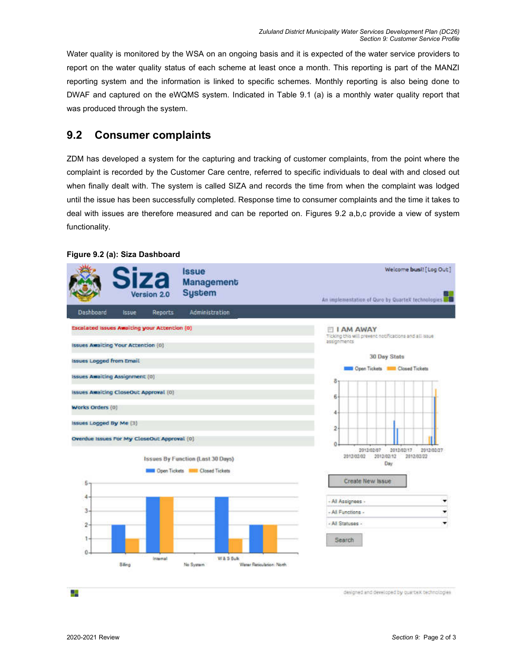Water quality is monitored by the WSA on an ongoing basis and it is expected of the water service providers to report on the water quality status of each scheme at least once a month. This reporting is part of the MANZI reporting system and the information is linked to specific schemes. Monthly reporting is also being done to DWAF and captured on the eWQMS system. Indicated in Table 9.1 (a) is a monthly water quality report that was produced through the system.

## **9.2 Consumer complaints**

ZDM has developed a system for the capturing and tracking of customer complaints, from the point where the complaint is recorded by the Customer Care centre, referred to specific individuals to deal with and closed out when finally dealt with. The system is called SIZA and records the time from when the complaint was lodged until the issue has been successfully completed. Response time to consumer complaints and the time it takes to deal with issues are therefore measured and can be reported on. Figures 9.2 a,b,c provide a view of system functionality.

#### Welcome busi! [Log Out] **Issue** Management **Sustem** Jersion 2.0 An implementation of Quro by Quartex technologies Dashboard Issue Reports Administration **Escalated Issues Awaiting your Attention (0)** I AM AWAY [11] **I AM AWAY**<br>Ticking this will prevent notifications and all issue<br>assignments Issues Awaiting Your Attention (0) **30 Day Stats Issues Logged from Email Mill Open Tickets Mill Closed Tickets** Issues Awaiting Assignment (0) 8 Issues Awaiting CloseOut Approval (0) 6 Works Orders (0) A Issues Logged By Me [3]  $\overline{2}$ Overdue Issues For My CloseOut Approval (0) ò. 2012/02/17 2012/02/07 2012/02/27 2012/02/12 2012/02/22 2012/02/02 **Issues By Function (Last 30 Days)** Day **DIE Open Tickets NEW Closed Tickets** Create New Issue -5 4 - All Assignees 3 - All Functions -▼ - All Statuses - $\overline{z}$ Search  $\alpha$ internal W & S Suk **Siling** No System Water Reticulation: North

### **Figure 9.2 (a): Siza Dashboard**

designed and developed by quartex technologies

24